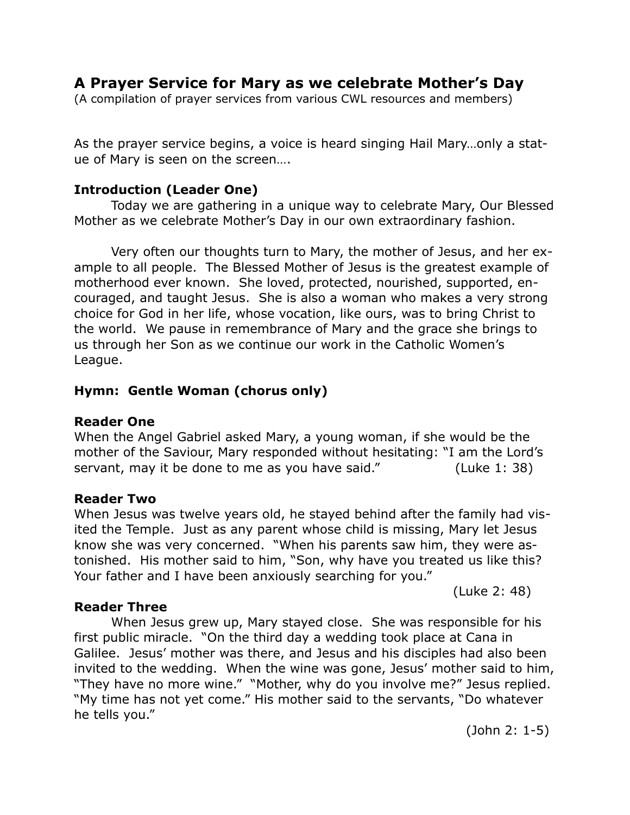# **A Prayer Service for Mary as we celebrate Mother's Day**

(A compilation of prayer services from various CWL resources and members)

As the prayer service begins, a voice is heard singing Hail Mary…only a statue of Mary is seen on the screen….

# **Introduction (Leader One)**

Today we are gathering in a unique way to celebrate Mary, Our Blessed Mother as we celebrate Mother's Day in our own extraordinary fashion.

 Very often our thoughts turn to Mary, the mother of Jesus, and her example to all people. The Blessed Mother of Jesus is the greatest example of motherhood ever known. She loved, protected, nourished, supported, encouraged, and taught Jesus. She is also a woman who makes a very strong choice for God in her life, whose vocation, like ours, was to bring Christ to the world. We pause in remembrance of Mary and the grace she brings to us through her Son as we continue our work in the Catholic Women's League.

# **Hymn: Gentle Woman (chorus only)**

### **Reader One**

When the Angel Gabriel asked Mary, a young woman, if she would be the mother of the Saviour, Mary responded without hesitating: "I am the Lord's servant, may it be done to me as you have said." (Luke 1: 38)

### **Reader Two**

When Jesus was twelve years old, he stayed behind after the family had visited the Temple. Just as any parent whose child is missing, Mary let Jesus know she was very concerned. "When his parents saw him, they were astonished. His mother said to him, "Son, why have you treated us like this? Your father and I have been anxiously searching for you."

# **Reader Three**

 When Jesus grew up, Mary stayed close. She was responsible for his first public miracle. "On the third day a wedding took place at Cana in Galilee. Jesus' mother was there, and Jesus and his disciples had also been invited to the wedding. When the wine was gone, Jesus' mother said to him, "They have no more wine." "Mother, why do you involve me?" Jesus replied. "My time has not yet come." His mother said to the servants, "Do whatever he tells you."

(John 2: 1-5)

(Luke 2: 48)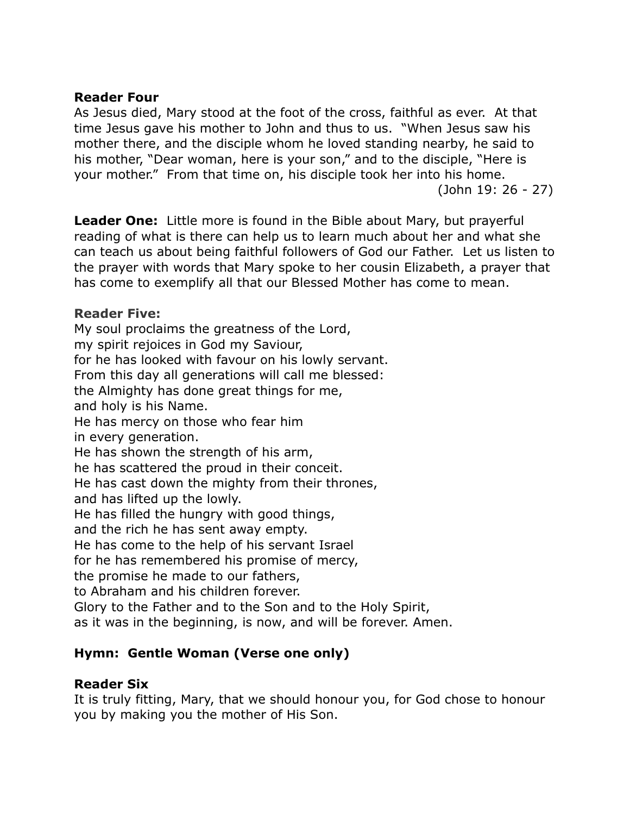# **Reader Four**

As Jesus died, Mary stood at the foot of the cross, faithful as ever. At that time Jesus gave his mother to John and thus to us. "When Jesus saw his mother there, and the disciple whom he loved standing nearby, he said to his mother, "Dear woman, here is your son," and to the disciple, "Here is your mother." From that time on, his disciple took her into his home. (John 19: 26 - 27)

**Leader One:** Little more is found in the Bible about Mary, but prayerful reading of what is there can help us to learn much about her and what she can teach us about being faithful followers of God our Father. Let us listen to the prayer with words that Mary spoke to her cousin Elizabeth, a prayer that has come to exemplify all that our Blessed Mother has come to mean.

# **Reader Five:**

My soul proclaims the greatness of the Lord, my spirit rejoices in God my Saviour, for he has looked with favour on his lowly servant. From this day all generations will call me blessed: the Almighty has done great things for me, and holy is his Name. He has mercy on those who fear him in every generation. He has shown the strength of his arm, he has scattered the proud in their conceit. He has cast down the mighty from their thrones, and has lifted up the lowly. He has filled the hungry with good things, and the rich he has sent away empty. He has come to the help of his servant Israel for he has remembered his promise of mercy, the promise he made to our fathers, to Abraham and his children forever. Glory to the Father and to the Son and to the Holy Spirit, as it was in the beginning, is now, and will be forever. Amen.

# **Hymn: Gentle Woman (Verse one only)**

# **Reader Six**

It is truly fitting, Mary, that we should honour you, for God chose to honour you by making you the mother of His Son.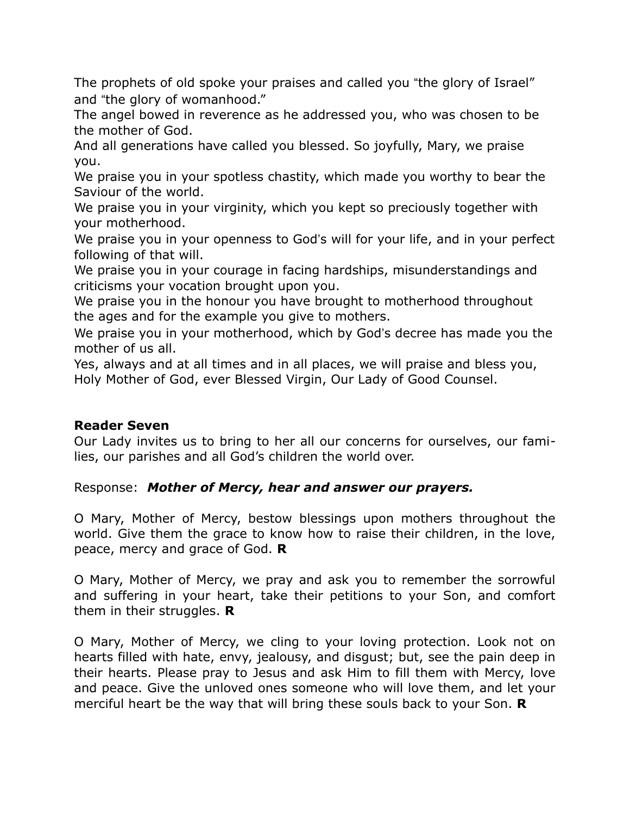The prophets of old spoke your praises and called you "the glory of Israel" and "the glory of womanhood."

The angel bowed in reverence as he addressed you, who was chosen to be the mother of God.

And all generations have called you blessed. So joyfully, Mary, we praise you.

We praise you in your spotless chastity, which made you worthy to bear the Saviour of the world.

We praise you in your virginity, which you kept so preciously together with your motherhood.

We praise you in your openness to God's will for your life, and in your perfect following of that will.

We praise you in your courage in facing hardships, misunderstandings and criticisms your vocation brought upon you.

We praise you in the honour you have brought to motherhood throughout the ages and for the example you give to mothers.

We praise you in your motherhood, which by God's decree has made you the mother of us all.

Yes, always and at all times and in all places, we will praise and bless you, Holy Mother of God, ever Blessed Virgin, Our Lady of Good Counsel.

# **Reader Seven**

Our Lady invites us to bring to her all our concerns for ourselves, our families, our parishes and all God's children the world over.

Response: *Mother of Mercy, hear and answer our prayers.*

O Mary, Mother of Mercy, bestow blessings upon mothers throughout the world. Give them the grace to know how to raise their children, in the love, peace, mercy and grace of God. **R**

O Mary, Mother of Mercy, we pray and ask you to remember the sorrowful and suffering in your heart, take their petitions to your Son, and comfort them in their struggles. **R**

O Mary, Mother of Mercy, we cling to your loving protection. Look not on hearts filled with hate, envy, jealousy, and disgust; but, see the pain deep in their hearts. Please pray to Jesus and ask Him to fill them with Mercy, love and peace. Give the unloved ones someone who will love them, and let your merciful heart be the way that will bring these souls back to your Son. **R**